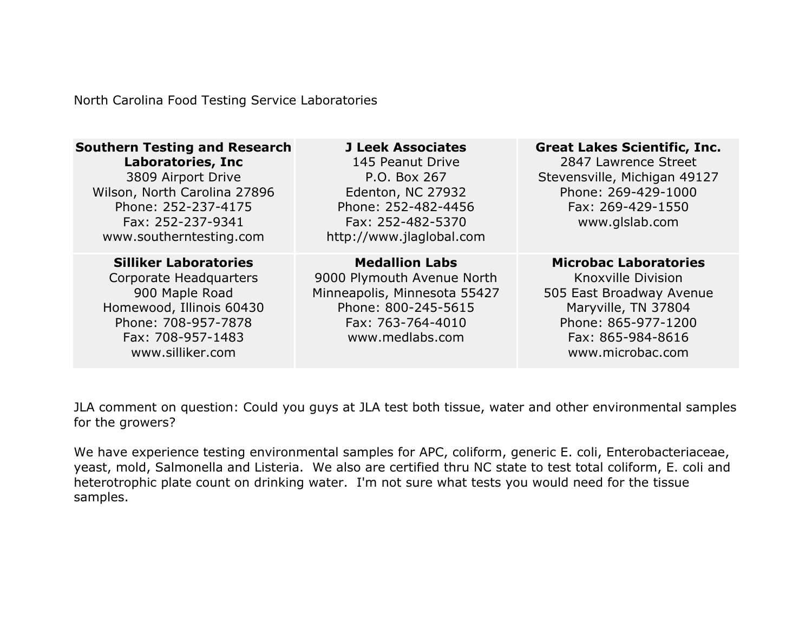North Carolina Food Testing Service Laboratories

| <b>Southern Testing and Research</b><br><b>Laboratories, Inc</b><br>3809 Airport Drive<br>Wilson, North Carolina 27896<br>Phone: 252-237-4175<br>Fax: 252-237-9341<br>www.southerntesting.com | <b>J Leek Associates</b><br>145 Peanut Drive<br>P.O. Box 267<br>Edenton, NC 27932<br>Phone: 252-482-4456<br>Fax: 252-482-5370<br>http://www.jlaglobal.com | <b>Great Lakes Scientific, Inc.</b><br>2847 Lawrence Street<br>Stevensville, Michigan 49127<br>Phone: 269-429-1000<br>Fax: 269-429-1550<br>www.glslab.com             |
|-----------------------------------------------------------------------------------------------------------------------------------------------------------------------------------------------|-----------------------------------------------------------------------------------------------------------------------------------------------------------|-----------------------------------------------------------------------------------------------------------------------------------------------------------------------|
| <b>Silliker Laboratories</b><br>Corporate Headquarters<br>900 Maple Road<br>Homewood, Illinois 60430<br>Phone: 708-957-7878<br>Fax: 708-957-1483<br>www.silliker.com                          | <b>Medallion Labs</b><br>9000 Plymouth Avenue North<br>Minneapolis, Minnesota 55427<br>Phone: 800-245-5615<br>Fax: 763-764-4010<br>www.medlabs.com        | <b>Microbac Laboratories</b><br>Knoxville Division<br>505 East Broadway Avenue<br>Maryville, TN 37804<br>Phone: 865-977-1200<br>Fax: 865-984-8616<br>www.microbac.com |

JLA comment on question: Could you guys at JLA test both tissue, water and other environmental samples for the growers?

We have experience testing environmental samples for APC, coliform, generic E. coli, Enterobacteriaceae, yeast, mold, Salmonella and Listeria. We also are certified thru NC state to test total coliform, E. coli and heterotrophic plate count on drinking water. I'm not sure what tests you would need for the tissue samples.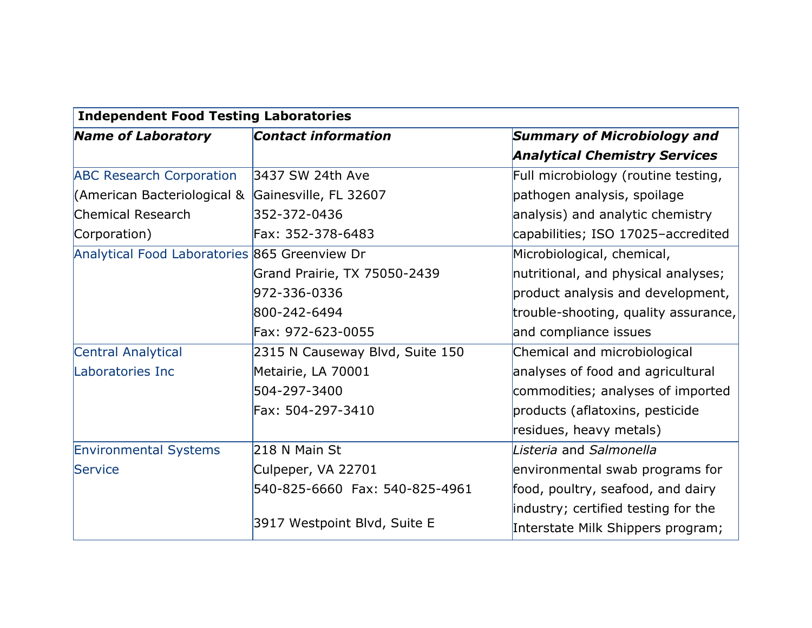| <b>Independent Food Testing Laboratories</b>  |                                 |                                      |  |  |
|-----------------------------------------------|---------------------------------|--------------------------------------|--|--|
| <b>Name of Laboratory</b>                     | <b>Contact information</b>      | <b>Summary of Microbiology and</b>   |  |  |
|                                               |                                 | <b>Analytical Chemistry Services</b> |  |  |
| <b>ABC Research Corporation</b>               | 3437 SW 24th Ave                | Full microbiology (routine testing,  |  |  |
| (American Bacteriological &                   | Gainesville, FL 32607           | pathogen analysis, spoilage          |  |  |
| Chemical Research                             | 352-372-0436                    | analysis) and analytic chemistry     |  |  |
| Corporation)                                  | Fax: 352-378-6483               | capabilities; ISO 17025-accredited   |  |  |
| Analytical Food Laboratories 865 Greenview Dr |                                 | Microbiological, chemical,           |  |  |
|                                               | Grand Prairie, TX 75050-2439    | nutritional, and physical analyses;  |  |  |
|                                               | 972-336-0336                    | product analysis and development,    |  |  |
|                                               | 800-242-6494                    | trouble-shooting, quality assurance, |  |  |
|                                               | Fax: 972-623-0055               | and compliance issues                |  |  |
| Central Analytical                            | 2315 N Causeway Blvd, Suite 150 | Chemical and microbiological         |  |  |
| Laboratories Inc                              | Metairie, LA 70001              | analyses of food and agricultural    |  |  |
|                                               | 504-297-3400                    | commodities; analyses of imported    |  |  |
|                                               | Fax: 504-297-3410               | products (aflatoxins, pesticide      |  |  |
|                                               |                                 | residues, heavy metals)              |  |  |
| <b>Environmental Systems</b>                  | 218 N Main St                   | Listeria and Salmonella              |  |  |
| Service                                       | Culpeper, VA 22701              | environmental swab programs for      |  |  |
|                                               |                                 | food, poultry, seafood, and dairy    |  |  |
|                                               |                                 | industry; certified testing for the  |  |  |
|                                               | 3917 Westpoint Blvd, Suite E    | Interstate Milk Shippers program;    |  |  |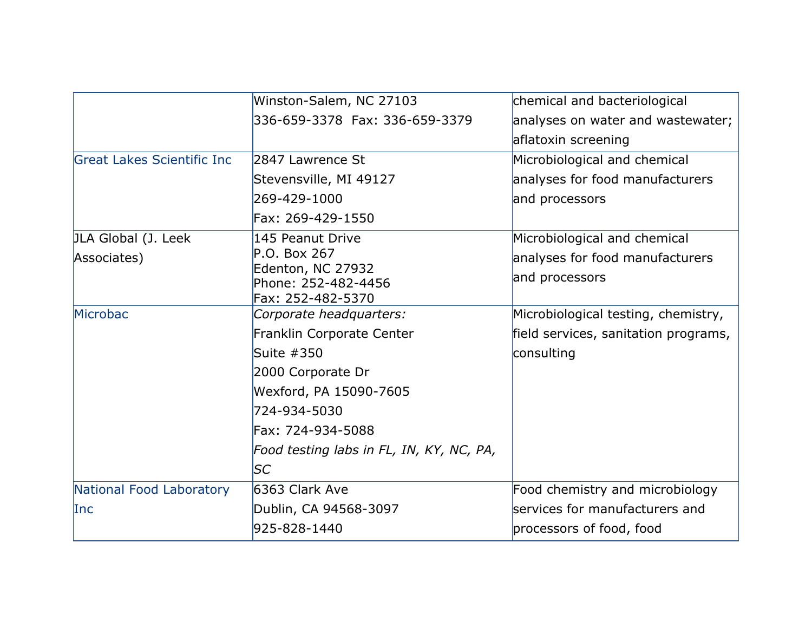|                            | Winston-Salem, NC 27103                  | chemical and bacteriological         |
|----------------------------|------------------------------------------|--------------------------------------|
|                            |                                          | analyses on water and wastewater;    |
|                            |                                          | aflatoxin screening                  |
| Great Lakes Scientific Inc | 2847 Lawrence St                         | Microbiological and chemical         |
|                            | Stevensville, MI 49127                   | analyses for food manufacturers      |
|                            | 269-429-1000                             | and processors                       |
|                            | Fax: 269-429-1550                        |                                      |
| JLA Global (J. Leek        | 145 Peanut Drive                         | Microbiological and chemical         |
| Associates)                | P.O. Box 267                             | analyses for food manufacturers      |
|                            | Edenton, NC 27932<br>Phone: 252-482-4456 | and processors                       |
|                            | Fax: 252-482-5370                        |                                      |
| Microbac                   | Corporate headquarters:                  | Microbiological testing, chemistry,  |
|                            | Franklin Corporate Center                | field services, sanitation programs, |
|                            | Suite $#350$                             | consulting                           |
|                            | 2000 Corporate Dr                        |                                      |
|                            | Wexford, PA 15090-7605                   |                                      |
|                            | 724-934-5030                             |                                      |
|                            | Fax: 724-934-5088                        |                                      |
|                            | Food testing labs in FL, IN, KY, NC, PA, |                                      |
|                            | SC                                       |                                      |
| National Food Laboratory   | 6363 Clark Ave                           | Food chemistry and microbiology      |
| Inc                        | Dublin, CA 94568-3097                    | services for manufacturers and       |
|                            | 925-828-1440                             | processors of food, food             |